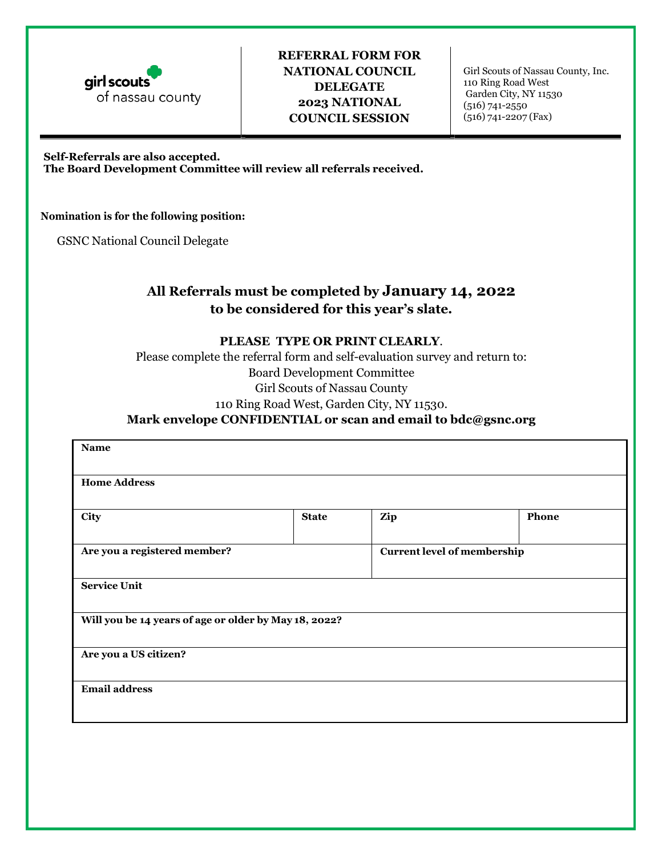

## **REFERRAL FORM FOR NATIONAL COUNCIL DELEGATE 2023 NATIONAL COUNCIL SESSION**

Girl Scouts of Nassau County, Inc. 110 Ring Road West Garden City, NY 11530 (516) 741-2550 (516) 741-2207 (Fax)

#### **Self-Referrals are also accepted.**

**The Board Development Committee will review all referrals received.** 

#### **Nomination is for the following position:**

GSNC National Council Delegate

# **All Referrals must be completed by January 14, 2022 to be considered for this year's slate.**

#### **PLEASE TYPE OR PRINT CLEARLY**.

Please complete the referral form and self-evaluation survey and return to: Board Development Committee Girl Scouts of Nassau County 110 Ring Road West, Garden City, NY 11530.

## **Mark envelope CONFIDENTIAL or scan and email to [bdc@gsnc.org](mailto:bdc@gsnc.org)**

| <b>Name</b>                                           |              |                                    |       |  |
|-------------------------------------------------------|--------------|------------------------------------|-------|--|
|                                                       |              |                                    |       |  |
| <b>Home Address</b>                                   |              |                                    |       |  |
|                                                       |              |                                    |       |  |
| City                                                  | <b>State</b> | Zip                                | Phone |  |
|                                                       |              |                                    |       |  |
| Are you a registered member?                          |              | <b>Current level of membership</b> |       |  |
|                                                       |              |                                    |       |  |
| <b>Service Unit</b>                                   |              |                                    |       |  |
|                                                       |              |                                    |       |  |
| Will you be 14 years of age or older by May 18, 2022? |              |                                    |       |  |
|                                                       |              |                                    |       |  |
| Are you a US citizen?                                 |              |                                    |       |  |
|                                                       |              |                                    |       |  |
| <b>Email address</b>                                  |              |                                    |       |  |
|                                                       |              |                                    |       |  |
|                                                       |              |                                    |       |  |
|                                                       |              |                                    |       |  |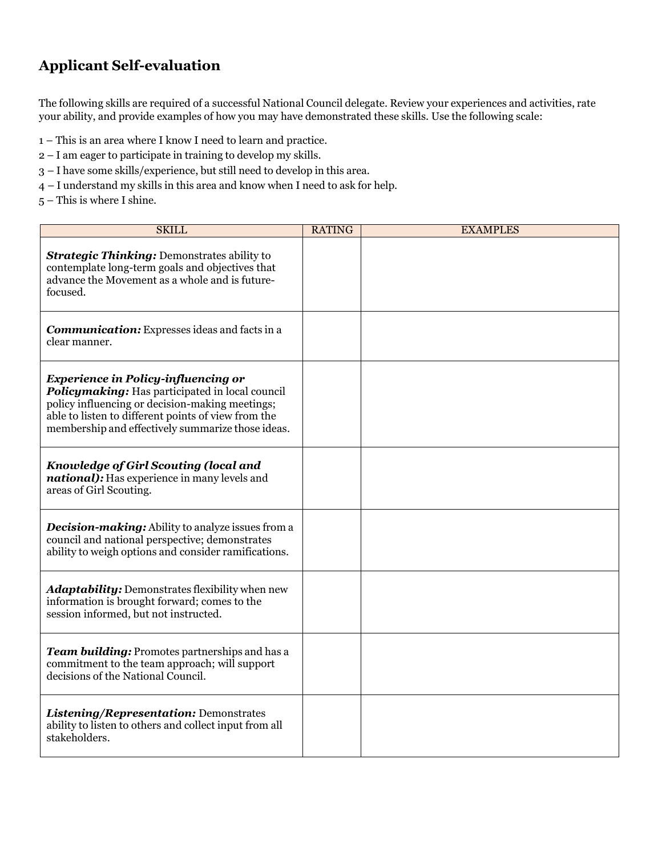# **Applicant Self-evaluation**

The following skills are required of a successful National Council delegate. Review your experiences and activities, rate your ability, and provide examples of how you may have demonstrated these skills. Use the following scale:

- 1 This is an area where I know I need to learn and practice.
- 2 I am eager to participate in training to develop my skills.
- 3 I have some skills/experience, but still need to develop in this area.
- 4 I understand my skills in this area and know when I need to ask for help.
- 5 This is where I shine.

| <b>SKILL</b>                                                                                                                                                                                                                                                 | <b>RATING</b> | <b>EXAMPLES</b> |
|--------------------------------------------------------------------------------------------------------------------------------------------------------------------------------------------------------------------------------------------------------------|---------------|-----------------|
| <b>Strategic Thinking: Demonstrates ability to</b><br>contemplate long-term goals and objectives that<br>advance the Movement as a whole and is future-<br>focused.                                                                                          |               |                 |
| <b>Communication:</b> Expresses ideas and facts in a<br>clear manner.                                                                                                                                                                                        |               |                 |
| <b>Experience in Policy-influencing or</b><br>Policymaking: Has participated in local council<br>policy influencing or decision-making meetings;<br>able to listen to different points of view from the<br>membership and effectively summarize those ideas. |               |                 |
| <b>Knowledge of Girl Scouting (local and</b><br><i>national</i> ): Has experience in many levels and<br>areas of Girl Scouting.                                                                                                                              |               |                 |
| <b>Decision-making:</b> Ability to analyze issues from a<br>council and national perspective; demonstrates<br>ability to weigh options and consider ramifications.                                                                                           |               |                 |
| <b>Adaptability:</b> Demonstrates flexibility when new<br>information is brought forward; comes to the<br>session informed, but not instructed.                                                                                                              |               |                 |
| Team building: Promotes partnerships and has a<br>commitment to the team approach; will support<br>decisions of the National Council.                                                                                                                        |               |                 |
| Listening/Representation: Demonstrates<br>ability to listen to others and collect input from all<br>stakeholders.                                                                                                                                            |               |                 |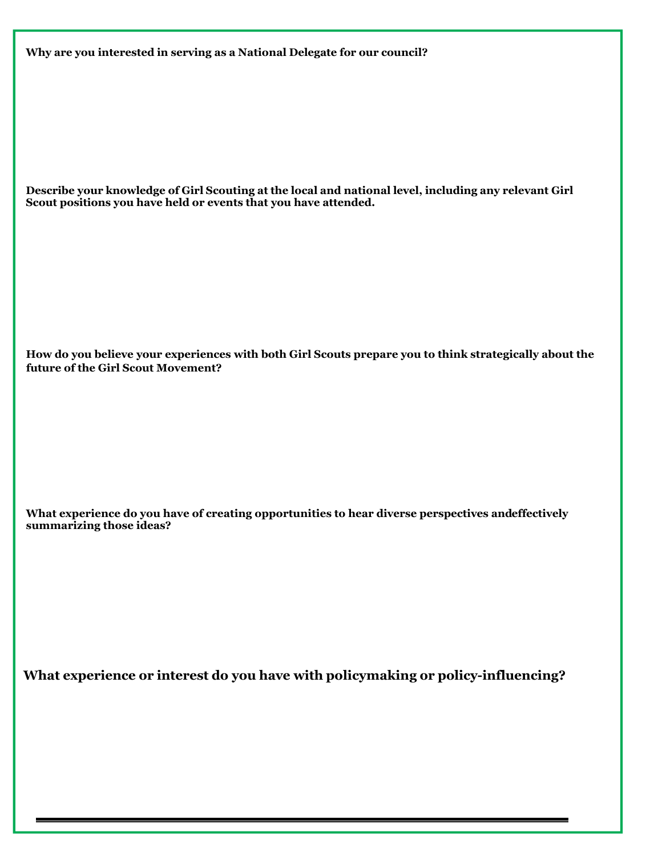**Why are you interested in serving as a National Delegate for our council?** 

**Describe your knowledge of Girl Scouting at the local and national level, including any relevant Girl Scout positions you have held or events that you have attended.** 

**How do you believe your experiences with both Girl Scouts prepare you to think strategically about the future of the Girl Scout Movement?** 

**What experience do you have of creating opportunities to hear diverse perspectives andeffectively summarizing those ideas?** 

**What experience or interest do you have with policymaking or policy-influencing?**